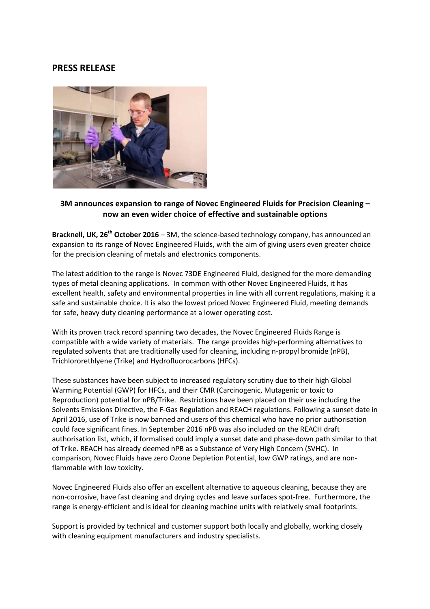# PRESS RELEASE



## 3M announces expansion to range of Novec Engineered Fluids for Precision Cleaning – now an even wider choice of effective and sustainable options

**Bracknell, UK, 26<sup>th</sup> October 2016** – 3M, the science-based technology company, has announced an expansion to its range of Novec Engineered Fluids, with the aim of giving users even greater choice for the precision cleaning of metals and electronics components.

The latest addition to the range is Novec 73DE Engineered Fluid, designed for the more demanding types of metal cleaning applications. In common with other Novec Engineered Fluids, it has excellent health, safety and environmental properties in line with all current regulations, making it a safe and sustainable choice. It is also the lowest priced Novec Engineered Fluid, meeting demands for safe, heavy duty cleaning performance at a lower operating cost.

With its proven track record spanning two decades, the Novec Engineered Fluids Range is compatible with a wide variety of materials. The range provides high-performing alternatives to regulated solvents that are traditionally used for cleaning, including n-propyl bromide (nPB), Trichlororethlyene (Trike) and Hydrofluorocarbons (HFCs).

These substances have been subject to increased regulatory scrutiny due to their high Global Warming Potential (GWP) for HFCs, and their CMR (Carcinogenic, Mutagenic or toxic to Reproduction) potential for nPB/Trike. Restrictions have been placed on their use including the Solvents Emissions Directive, the F-Gas Regulation and REACH regulations. Following a sunset date in April 2016, use of Trike is now banned and users of this chemical who have no prior authorisation could face significant fines. In September 2016 nPB was also included on the REACH draft authorisation list, which, if formalised could imply a sunset date and phase-down path similar to that of Trike. REACH has already deemed nPB as a Substance of Very High Concern (SVHC). In comparison, Novec Fluids have zero Ozone Depletion Potential, low GWP ratings, and are nonflammable with low toxicity.

Novec Engineered Fluids also offer an excellent alternative to aqueous cleaning, because they are non-corrosive, have fast cleaning and drying cycles and leave surfaces spot-free. Furthermore, the range is energy-efficient and is ideal for cleaning machine units with relatively small footprints.

Support is provided by technical and customer support both locally and globally, working closely with cleaning equipment manufacturers and industry specialists.